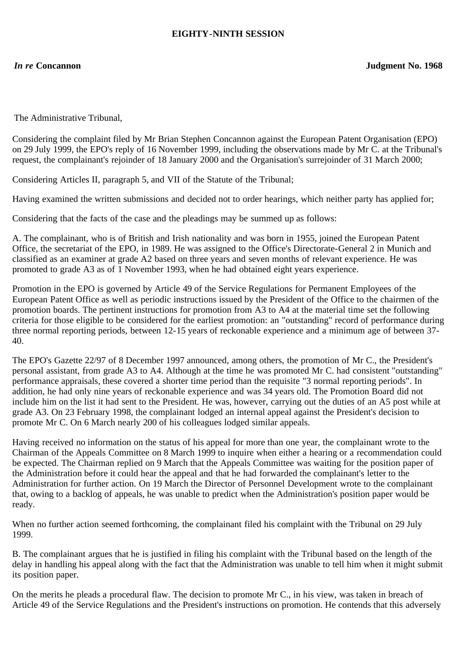### **EIGHTY-NINTH SESSION**

The Administrative Tribunal,

Considering the complaint filed by Mr Brian Stephen Concannon against the European Patent Organisation (EPO) on 29 July 1999, the EPO's reply of 16 November 1999, including the observations made by Mr C. at the Tribunal's request, the complainant's rejoinder of 18 January 2000 and the Organisation's surrejoinder of 31 March 2000;

Considering Articles II, paragraph 5, and VII of the Statute of the Tribunal;

Having examined the written submissions and decided not to order hearings, which neither party has applied for;

Considering that the facts of the case and the pleadings may be summed up as follows:

A. The complainant, who is of British and Irish nationality and was born in 1955, joined the European Patent Office, the secretariat of the EPO, in 1989. He was assigned to the Office's Directorate-General 2 in Munich and classified as an examiner at grade A2 based on three years and seven months of relevant experience. He was promoted to grade A3 as of 1 November 1993, when he had obtained eight years experience.

Promotion in the EPO is governed by Article 49 of the Service Regulations for Permanent Employees of the European Patent Office as well as periodic instructions issued by the President of the Office to the chairmen of the promotion boards. The pertinent instructions for promotion from A3 to A4 at the material time set the following criteria for those eligible to be considered for the earliest promotion: an "outstanding" record of performance during three normal reporting periods, between 12-15 years of reckonable experience and a minimum age of between 37- 40.

The EPO's Gazette 22/97 of 8 December 1997 announced, among others, the promotion of Mr C., the President's personal assistant, from grade A3 to A4. Although at the time he was promoted Mr C. had consistent "outstanding" performance appraisals, these covered a shorter time period than the requisite "3 normal reporting periods". In addition, he had only nine years of reckonable experience and was 34 years old. The Promotion Board did not include him on the list it had sent to the President. He was, however, carrying out the duties of an A5 post while at grade A3. On 23 February 1998, the complainant lodged an internal appeal against the President's decision to promote Mr C. On 6 March nearly 200 of his colleagues lodged similar appeals.

Having received no information on the status of his appeal for more than one year, the complainant wrote to the Chairman of the Appeals Committee on 8 March 1999 to inquire when either a hearing or a recommendation could be expected. The Chairman replied on 9 March that the Appeals Committee was waiting for the position paper of the Administration before it could hear the appeal and that he had forwarded the complainant's letter to the Administration for further action. On 19 March the Director of Personnel Development wrote to the complainant that, owing to a backlog of appeals, he was unable to predict when the Administration's position paper would be ready.

When no further action seemed forthcoming, the complainant filed his complaint with the Tribunal on 29 July 1999.

B. The complainant argues that he is justified in filing his complaint with the Tribunal based on the length of the delay in handling his appeal along with the fact that the Administration was unable to tell him when it might submit its position paper.

On the merits he pleads a procedural flaw. The decision to promote Mr C., in his view, was taken in breach of Article 49 of the Service Regulations and the President's instructions on promotion. He contends that this adversely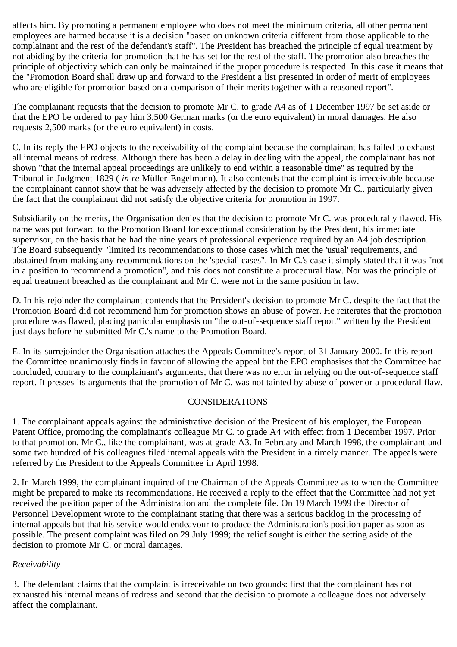affects him. By promoting a permanent employee who does not meet the minimum criteria, all other permanent employees are harmed because it is a decision "based on unknown criteria different from those applicable to the complainant and the rest of the defendant's staff". The President has breached the principle of equal treatment by not abiding by the criteria for promotion that he has set for the rest of the staff. The promotion also breaches the principle of objectivity which can only be maintained if the proper procedure is respected. In this case it means that the "Promotion Board shall draw up and forward to the President a list presented in order of merit of employees who are eligible for promotion based on a comparison of their merits together with a reasoned report".

The complainant requests that the decision to promote Mr C. to grade A4 as of 1 December 1997 be set aside or that the EPO be ordered to pay him 3,500 German marks (or the euro equivalent) in moral damages. He also requests 2,500 marks (or the euro equivalent) in costs.

C. In its reply the EPO objects to the receivability of the complaint because the complainant has failed to exhaust all internal means of redress. Although there has been a delay in dealing with the appeal, the complainant has not shown "that the internal appeal proceedings are unlikely to end within a reasonable time" as required by the Tribunal in Judgment 1829 ( *in re* Müller-Engelmann). It also contends that the complaint is irreceivable because the complainant cannot show that he was adversely affected by the decision to promote Mr C., particularly given the fact that the complainant did not satisfy the objective criteria for promotion in 1997.

Subsidiarily on the merits, the Organisation denies that the decision to promote Mr C. was procedurally flawed. His name was put forward to the Promotion Board for exceptional consideration by the President, his immediate supervisor, on the basis that he had the nine years of professional experience required by an A4 job description. The Board subsequently "limited its recommendations to those cases which met the 'usual' requirements, and abstained from making any recommendations on the 'special' cases". In Mr C.'s case it simply stated that it was "not in a position to recommend a promotion", and this does not constitute a procedural flaw. Nor was the principle of equal treatment breached as the complainant and Mr C. were not in the same position in law.

D. In his rejoinder the complainant contends that the President's decision to promote Mr C. despite the fact that the Promotion Board did not recommend him for promotion shows an abuse of power. He reiterates that the promotion procedure was flawed, placing particular emphasis on "the out-of-sequence staff report" written by the President just days before he submitted Mr C.'s name to the Promotion Board.

E. In its surrejoinder the Organisation attaches the Appeals Committee's report of 31 January 2000. In this report the Committee unanimously finds in favour of allowing the appeal but the EPO emphasises that the Committee had concluded, contrary to the complainant's arguments, that there was no error in relying on the out-of-sequence staff report. It presses its arguments that the promotion of Mr C. was not tainted by abuse of power or a procedural flaw.

# CONSIDERATIONS

1. The complainant appeals against the administrative decision of the President of his employer, the European Patent Office, promoting the complainant's colleague Mr C. to grade A4 with effect from 1 December 1997. Prior to that promotion, Mr C., like the complainant, was at grade A3. In February and March 1998, the complainant and some two hundred of his colleagues filed internal appeals with the President in a timely manner. The appeals were referred by the President to the Appeals Committee in April 1998.

2. In March 1999, the complainant inquired of the Chairman of the Appeals Committee as to when the Committee might be prepared to make its recommendations. He received a reply to the effect that the Committee had not yet received the position paper of the Administration and the complete file. On 19 March 1999 the Director of Personnel Development wrote to the complainant stating that there was a serious backlog in the processing of internal appeals but that his service would endeavour to produce the Administration's position paper as soon as possible. The present complaint was filed on 29 July 1999; the relief sought is either the setting aside of the decision to promote Mr C. or moral damages.

# *Receivability*

3. The defendant claims that the complaint is irreceivable on two grounds: first that the complainant has not exhausted his internal means of redress and second that the decision to promote a colleague does not adversely affect the complainant.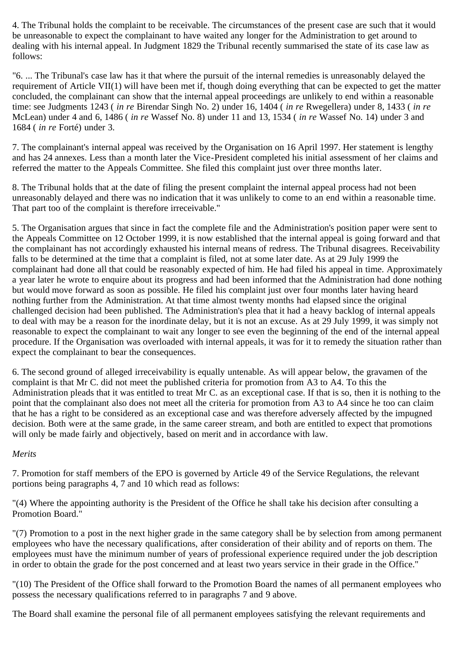4. The Tribunal holds the complaint to be receivable. The circumstances of the present case are such that it would be unreasonable to expect the complainant to have waited any longer for the Administration to get around to dealing with his internal appeal. In Judgment 1829 the Tribunal recently summarised the state of its case law as follows:

"6. ... The Tribunal's case law has it that where the pursuit of the internal remedies is unreasonably delayed the requirement of Article VII(1) will have been met if, though doing everything that can be expected to get the matter concluded, the complainant can show that the internal appeal proceedings are unlikely to end within a reasonable time: see Judgments 1243 ( *in re* Birendar Singh No. 2) under 16, 1404 ( *in re* Rwegellera) under 8, 1433 ( *in re* McLean) under 4 and 6, 1486 ( *in re* Wassef No. 8) under 11 and 13, 1534 ( *in re* Wassef No. 14) under 3 and 1684 ( *in re* Forté) under 3.

7. The complainant's internal appeal was received by the Organisation on 16 April 1997. Her statement is lengthy and has 24 annexes. Less than a month later the Vice-President completed his initial assessment of her claims and referred the matter to the Appeals Committee. She filed this complaint just over three months later.

8. The Tribunal holds that at the date of filing the present complaint the internal appeal process had not been unreasonably delayed and there was no indication that it was unlikely to come to an end within a reasonable time. That part too of the complaint is therefore irreceivable."

5. The Organisation argues that since in fact the complete file and the Administration's position paper were sent to the Appeals Committee on 12 October 1999, it is now established that the internal appeal is going forward and that the complainant has not accordingly exhausted his internal means of redress. The Tribunal disagrees. Receivability falls to be determined at the time that a complaint is filed, not at some later date. As at 29 July 1999 the complainant had done all that could be reasonably expected of him. He had filed his appeal in time. Approximately a year later he wrote to enquire about its progress and had been informed that the Administration had done nothing but would move forward as soon as possible. He filed his complaint just over four months later having heard nothing further from the Administration. At that time almost twenty months had elapsed since the original challenged decision had been published. The Administration's plea that it had a heavy backlog of internal appeals to deal with may be a reason for the inordinate delay, but it is not an excuse. As at 29 July 1999, it was simply not reasonable to expect the complainant to wait any longer to see even the beginning of the end of the internal appeal procedure. If the Organisation was overloaded with internal appeals, it was for it to remedy the situation rather than expect the complainant to bear the consequences.

6. The second ground of alleged irreceivability is equally untenable. As will appear below, the gravamen of the complaint is that Mr C. did not meet the published criteria for promotion from A3 to A4. To this the Administration pleads that it was entitled to treat Mr C. as an exceptional case. If that is so, then it is nothing to the point that the complainant also does not meet all the criteria for promotion from A3 to A4 since he too can claim that he has a right to be considered as an exceptional case and was therefore adversely affected by the impugned decision. Both were at the same grade, in the same career stream, and both are entitled to expect that promotions will only be made fairly and objectively, based on merit and in accordance with law.

#### *Merits*

7. Promotion for staff members of the EPO is governed by Article 49 of the Service Regulations, the relevant portions being paragraphs 4, 7 and 10 which read as follows:

"(4) Where the appointing authority is the President of the Office he shall take his decision after consulting a Promotion Board."

"(7) Promotion to a post in the next higher grade in the same category shall be by selection from among permanent employees who have the necessary qualifications, after consideration of their ability and of reports on them. The employees must have the minimum number of years of professional experience required under the job description in order to obtain the grade for the post concerned and at least two years service in their grade in the Office."

"(10) The President of the Office shall forward to the Promotion Board the names of all permanent employees who possess the necessary qualifications referred to in paragraphs 7 and 9 above.

The Board shall examine the personal file of all permanent employees satisfying the relevant requirements and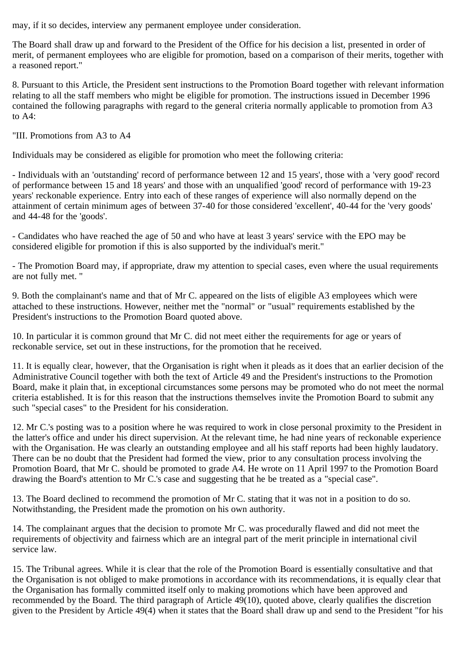may, if it so decides, interview any permanent employee under consideration.

The Board shall draw up and forward to the President of the Office for his decision a list, presented in order of merit, of permanent employees who are eligible for promotion, based on a comparison of their merits, together with a reasoned report."

8. Pursuant to this Article, the President sent instructions to the Promotion Board together with relevant information relating to all the staff members who might be eligible for promotion. The instructions issued in December 1996 contained the following paragraphs with regard to the general criteria normally applicable to promotion from A3 to A4:

"III. Promotions from A3 to A4

Individuals may be considered as eligible for promotion who meet the following criteria:

- Individuals with an 'outstanding' record of performance between 12 and 15 years', those with a 'very good' record of performance between 15 and 18 years' and those with an unqualified 'good' record of performance with 19-23 years' reckonable experience. Entry into each of these ranges of experience will also normally depend on the attainment of certain minimum ages of between 37-40 for those considered 'excellent', 40-44 for the 'very goods' and 44-48 for the 'goods'.

- Candidates who have reached the age of 50 and who have at least 3 years' service with the EPO may be considered eligible for promotion if this is also supported by the individual's merit."

- The Promotion Board may, if appropriate, draw my attention to special cases, even where the usual requirements are not fully met. "

9. Both the complainant's name and that of Mr C. appeared on the lists of eligible A3 employees which were attached to these instructions. However, neither met the "normal" or "usual" requirements established by the President's instructions to the Promotion Board quoted above.

10. In particular it is common ground that Mr C. did not meet either the requirements for age or years of reckonable service, set out in these instructions, for the promotion that he received.

11. It is equally clear, however, that the Organisation is right when it pleads as it does that an earlier decision of the Administrative Council together with both the text of Article 49 and the President's instructions to the Promotion Board, make it plain that, in exceptional circumstances some persons may be promoted who do not meet the normal criteria established. It is for this reason that the instructions themselves invite the Promotion Board to submit any such "special cases" to the President for his consideration.

12. Mr C.'s posting was to a position where he was required to work in close personal proximity to the President in the latter's office and under his direct supervision. At the relevant time, he had nine years of reckonable experience with the Organisation. He was clearly an outstanding employee and all his staff reports had been highly laudatory. There can be no doubt that the President had formed the view, prior to any consultation process involving the Promotion Board, that Mr C. should be promoted to grade A4. He wrote on 11 April 1997 to the Promotion Board drawing the Board's attention to Mr C.'s case and suggesting that he be treated as a "special case".

13. The Board declined to recommend the promotion of Mr C. stating that it was not in a position to do so. Notwithstanding, the President made the promotion on his own authority.

14. The complainant argues that the decision to promote Mr C. was procedurally flawed and did not meet the requirements of objectivity and fairness which are an integral part of the merit principle in international civil service law.

15. The Tribunal agrees. While it is clear that the role of the Promotion Board is essentially consultative and that the Organisation is not obliged to make promotions in accordance with its recommendations, it is equally clear that the Organisation has formally committed itself only to making promotions which have been approved and recommended by the Board. The third paragraph of Article  $49(10)$ , quoted above, clearly qualifies the discretion given to the President by Article 49(4) when it states that the Board shall draw up and send to the President "for his